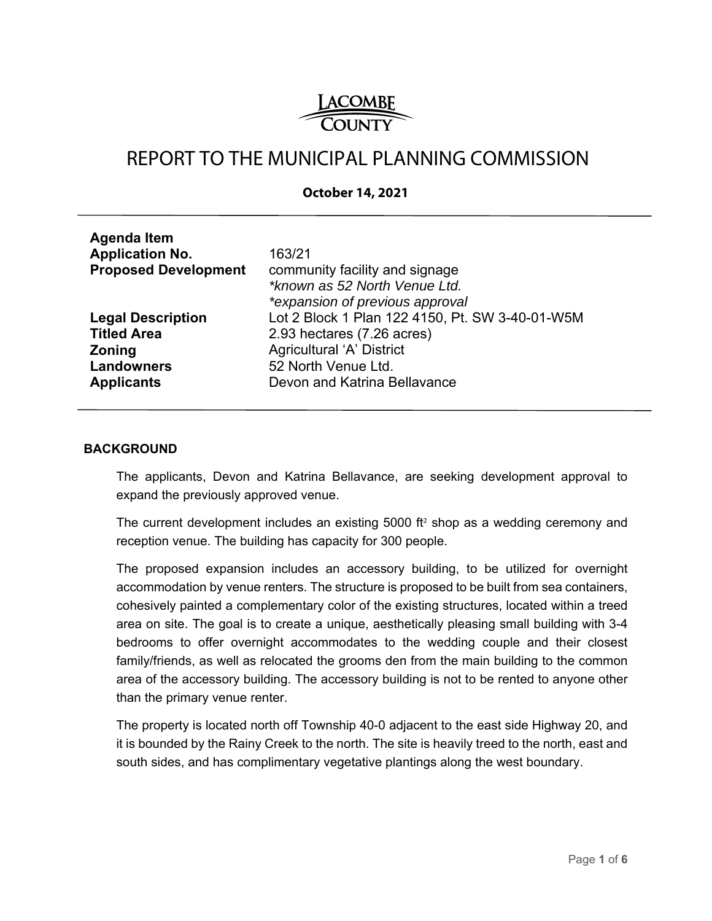

# REPORT TO THE MUNICIPAL PLANNING COMMISSION

### **October 14, 2021**

| <b>Agenda Item</b>          |                                                 |
|-----------------------------|-------------------------------------------------|
| <b>Application No.</b>      | 163/21                                          |
| <b>Proposed Development</b> | community facility and signage                  |
|                             | *known as 52 North Venue Ltd.                   |
|                             | *expansion of previous approval                 |
| <b>Legal Description</b>    | Lot 2 Block 1 Plan 122 4150, Pt. SW 3-40-01-W5M |
| <b>Titled Area</b>          | 2.93 hectares (7.26 acres)                      |
| <b>Zoning</b>               | Agricultural 'A' District                       |
| <b>Landowners</b>           | 52 North Venue Ltd.                             |
| <b>Applicants</b>           | Devon and Katrina Bellavance                    |
|                             |                                                 |

#### **BACKGROUND**

The applicants, Devon and Katrina Bellavance, are seeking development approval to expand the previously approved venue.

The current development includes an existing 5000 ft² shop as a wedding ceremony and reception venue. The building has capacity for 300 people.

The proposed expansion includes an accessory building, to be utilized for overnight accommodation by venue renters. The structure is proposed to be built from sea containers, cohesively painted a complementary color of the existing structures, located within a treed area on site. The goal is to create a unique, aesthetically pleasing small building with 3-4 bedrooms to offer overnight accommodates to the wedding couple and their closest family/friends, as well as relocated the grooms den from the main building to the common area of the accessory building. The accessory building is not to be rented to anyone other than the primary venue renter.

The property is located north off Township 40-0 adjacent to the east side Highway 20, and it is bounded by the Rainy Creek to the north. The site is heavily treed to the north, east and south sides, and has complimentary vegetative plantings along the west boundary.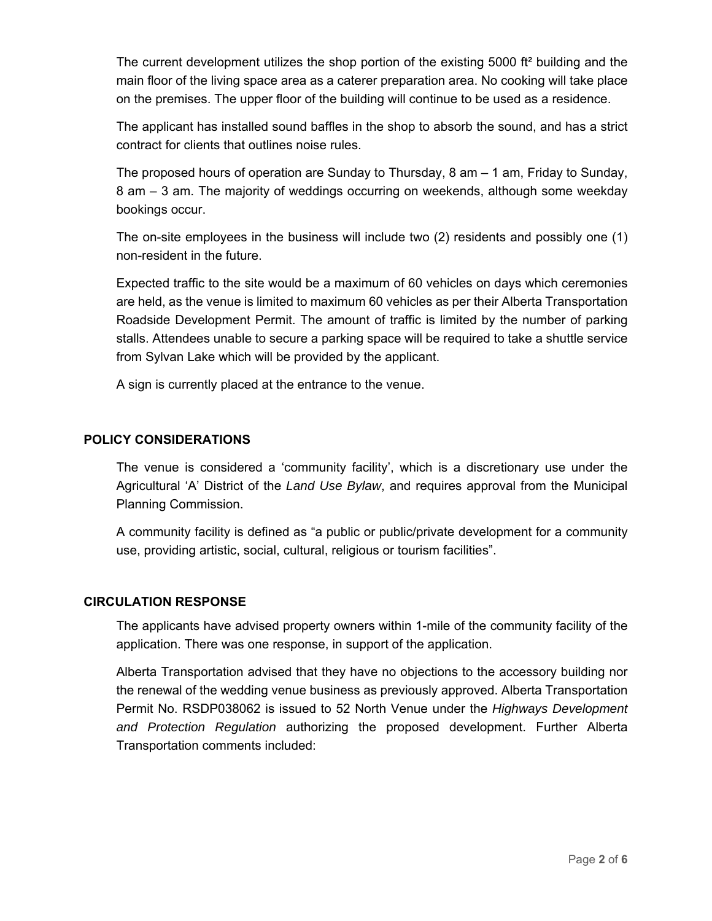The current development utilizes the shop portion of the existing 5000 ft<sup>2</sup> building and the main floor of the living space area as a caterer preparation area. No cooking will take place on the premises. The upper floor of the building will continue to be used as a residence.

The applicant has installed sound baffles in the shop to absorb the sound, and has a strict contract for clients that outlines noise rules.

The proposed hours of operation are Sunday to Thursday, 8 am – 1 am, Friday to Sunday, 8 am – 3 am. The majority of weddings occurring on weekends, although some weekday bookings occur.

The on-site employees in the business will include two (2) residents and possibly one (1) non-resident in the future.

Expected traffic to the site would be a maximum of 60 vehicles on days which ceremonies are held, as the venue is limited to maximum 60 vehicles as per their Alberta Transportation Roadside Development Permit. The amount of traffic is limited by the number of parking stalls. Attendees unable to secure a parking space will be required to take a shuttle service from Sylvan Lake which will be provided by the applicant.

A sign is currently placed at the entrance to the venue.

## **POLICY CONSIDERATIONS**

The venue is considered a 'community facility', which is a discretionary use under the Agricultural 'A' District of the *Land Use Bylaw*, and requires approval from the Municipal Planning Commission.

A community facility is defined as "a public or public/private development for a community use, providing artistic, social, cultural, religious or tourism facilities".

## **CIRCULATION RESPONSE**

The applicants have advised property owners within 1-mile of the community facility of the application. There was one response, in support of the application.

Alberta Transportation advised that they have no objections to the accessory building nor the renewal of the wedding venue business as previously approved. Alberta Transportation Permit No. RSDP038062 is issued to 52 North Venue under the *Highways Development and Protection Regulation* authorizing the proposed development. Further Alberta Transportation comments included: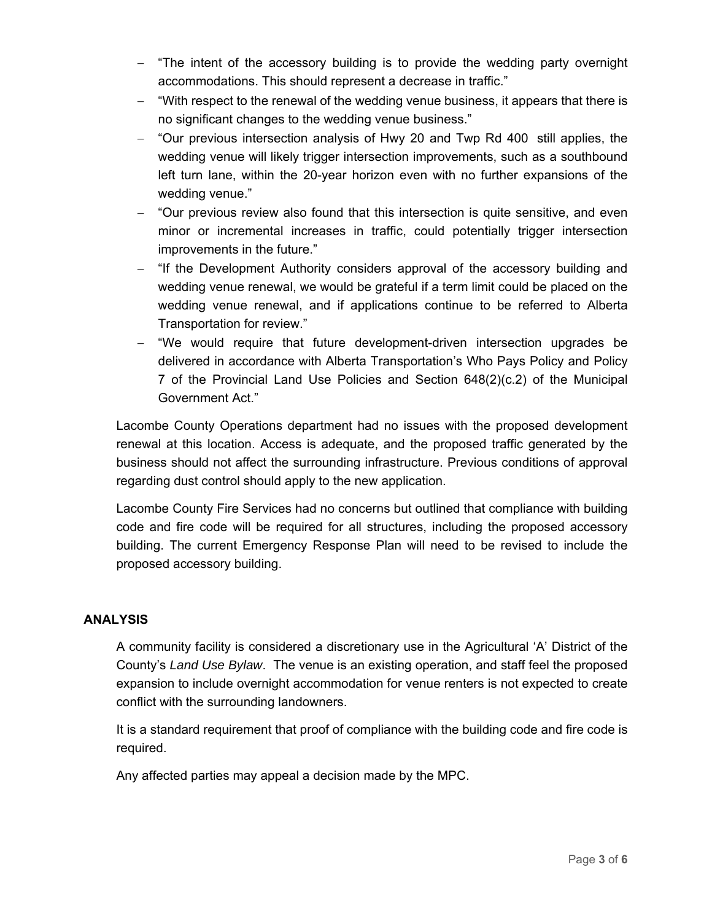- "The intent of the accessory building is to provide the wedding party overnight accommodations. This should represent a decrease in traffic."
- "With respect to the renewal of the wedding venue business, it appears that there is no significant changes to the wedding venue business."
- "Our previous intersection analysis of Hwy 20 and Twp Rd 400 still applies, the wedding venue will likely trigger intersection improvements, such as a southbound left turn lane, within the 20-year horizon even with no further expansions of the wedding venue."
- "Our previous review also found that this intersection is quite sensitive, and even minor or incremental increases in traffic, could potentially trigger intersection improvements in the future."
- "If the Development Authority considers approval of the accessory building and wedding venue renewal, we would be grateful if a term limit could be placed on the wedding venue renewal, and if applications continue to be referred to Alberta Transportation for review."
- "We would require that future development-driven intersection upgrades be delivered in accordance with Alberta Transportation's Who Pays Policy and Policy 7 of the Provincial Land Use Policies and Section 648(2)(c.2) of the Municipal Government Act."

Lacombe County Operations department had no issues with the proposed development renewal at this location. Access is adequate, and the proposed traffic generated by the business should not affect the surrounding infrastructure. Previous conditions of approval regarding dust control should apply to the new application.

Lacombe County Fire Services had no concerns but outlined that compliance with building code and fire code will be required for all structures, including the proposed accessory building. The current Emergency Response Plan will need to be revised to include the proposed accessory building.

## **ANALYSIS**

A community facility is considered a discretionary use in the Agricultural 'A' District of the County's *Land Use Bylaw*. The venue is an existing operation, and staff feel the proposed expansion to include overnight accommodation for venue renters is not expected to create conflict with the surrounding landowners.

It is a standard requirement that proof of compliance with the building code and fire code is required.

Any affected parties may appeal a decision made by the MPC.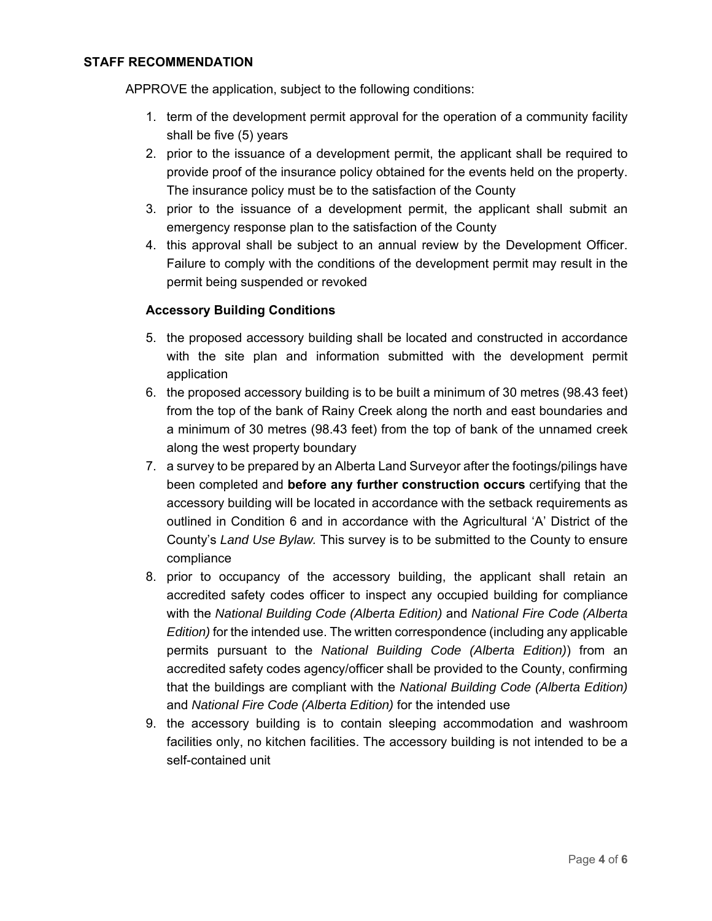#### **STAFF RECOMMENDATION**

APPROVE the application, subject to the following conditions:

- 1. term of the development permit approval for the operation of a community facility shall be five (5) years
- 2. prior to the issuance of a development permit, the applicant shall be required to provide proof of the insurance policy obtained for the events held on the property. The insurance policy must be to the satisfaction of the County
- 3. prior to the issuance of a development permit, the applicant shall submit an emergency response plan to the satisfaction of the County
- 4. this approval shall be subject to an annual review by the Development Officer. Failure to comply with the conditions of the development permit may result in the permit being suspended or revoked

## **Accessory Building Conditions**

- 5. the proposed accessory building shall be located and constructed in accordance with the site plan and information submitted with the development permit application
- 6. the proposed accessory building is to be built a minimum of 30 metres (98.43 feet) from the top of the bank of Rainy Creek along the north and east boundaries and a minimum of 30 metres (98.43 feet) from the top of bank of the unnamed creek along the west property boundary
- 7. a survey to be prepared by an Alberta Land Surveyor after the footings/pilings have been completed and **before any further construction occurs** certifying that the accessory building will be located in accordance with the setback requirements as outlined in Condition 6 and in accordance with the Agricultural 'A' District of the County's *Land Use Bylaw.* This survey is to be submitted to the County to ensure compliance
- 8. prior to occupancy of the accessory building, the applicant shall retain an accredited safety codes officer to inspect any occupied building for compliance with the *National Building Code (Alberta Edition)* and *National Fire Code (Alberta Edition)* for the intended use. The written correspondence (including any applicable permits pursuant to the *National Building Code (Alberta Edition)*) from an accredited safety codes agency/officer shall be provided to the County, confirming that the buildings are compliant with the *National Building Code (Alberta Edition)* and *National Fire Code (Alberta Edition)* for the intended use
- 9. the accessory building is to contain sleeping accommodation and washroom facilities only, no kitchen facilities. The accessory building is not intended to be a self-contained unit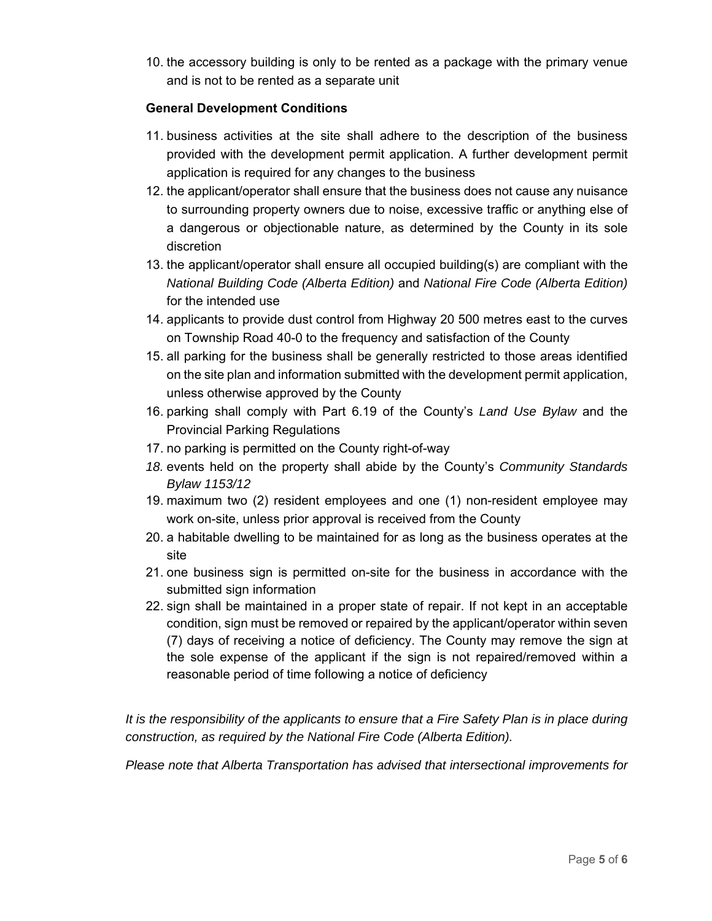10. the accessory building is only to be rented as a package with the primary venue and is not to be rented as a separate unit

## **General Development Conditions**

- 11. business activities at the site shall adhere to the description of the business provided with the development permit application. A further development permit application is required for any changes to the business
- 12. the applicant/operator shall ensure that the business does not cause any nuisance to surrounding property owners due to noise, excessive traffic or anything else of a dangerous or objectionable nature, as determined by the County in its sole discretion
- 13. the applicant/operator shall ensure all occupied building(s) are compliant with the *National Building Code (Alberta Edition)* and *National Fire Code (Alberta Edition)*  for the intended use
- 14. applicants to provide dust control from Highway 20 500 metres east to the curves on Township Road 40-0 to the frequency and satisfaction of the County
- 15. all parking for the business shall be generally restricted to those areas identified on the site plan and information submitted with the development permit application, unless otherwise approved by the County
- 16. parking shall comply with Part 6.19 of the County's *Land Use Bylaw* and the Provincial Parking Regulations
- 17. no parking is permitted on the County right-of-way
- *18.* events held on the property shall abide by the County's *Community Standards Bylaw 1153/12*
- 19. maximum two (2) resident employees and one (1) non-resident employee may work on-site, unless prior approval is received from the County
- 20. a habitable dwelling to be maintained for as long as the business operates at the site
- 21. one business sign is permitted on-site for the business in accordance with the submitted sign information
- 22. sign shall be maintained in a proper state of repair. If not kept in an acceptable condition, sign must be removed or repaired by the applicant/operator within seven (7) days of receiving a notice of deficiency. The County may remove the sign at the sole expense of the applicant if the sign is not repaired/removed within a reasonable period of time following a notice of deficiency

*It is the responsibility of the applicants to ensure that a Fire Safety Plan is in place during construction, as required by the National Fire Code (Alberta Edition).* 

*Please note that Alberta Transportation has advised that intersectional improvements for*